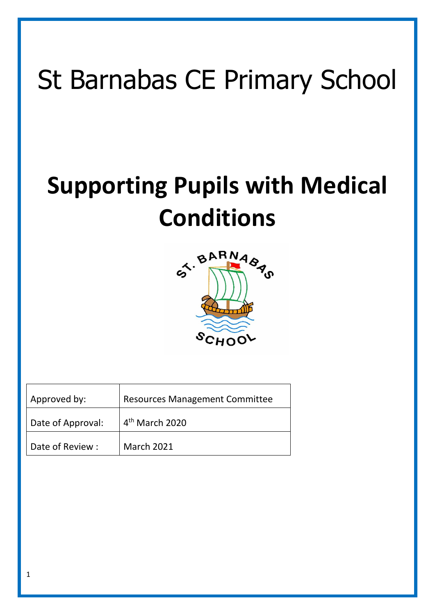# St Barnabas CE Primary School

## **Supporting Pupils with Medical Conditions**



| Approved by:      | <b>Resources Management Committee</b> |
|-------------------|---------------------------------------|
| Date of Approval: | $4th$ March 2020                      |
| Date of Review:   | March 2021                            |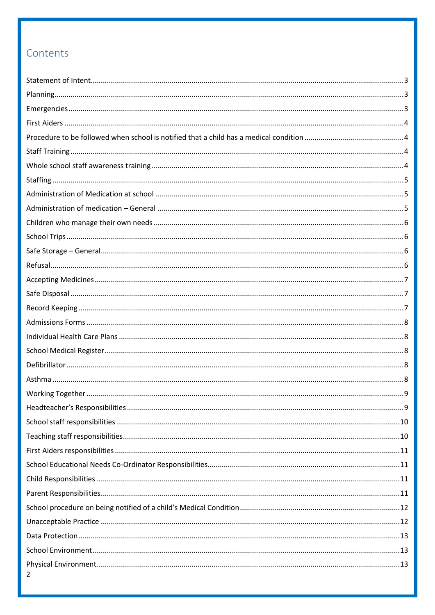## Contents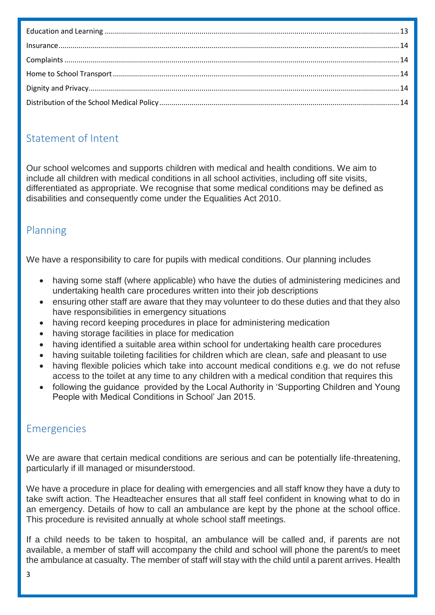## <span id="page-2-0"></span>Statement of Intent

Our school welcomes and supports children with medical and health conditions. We aim to include all children with medical conditions in all school activities, including off site visits, differentiated as appropriate. We recognise that some medical conditions may be defined as disabilities and consequently come under the Equalities Act 2010.

## <span id="page-2-1"></span>Planning

We have a responsibility to care for pupils with medical conditions. Our planning includes

- having some staff (where applicable) who have the duties of administering medicines and undertaking health care procedures written into their job descriptions
- ensuring other staff are aware that they may volunteer to do these duties and that they also have responsibilities in emergency situations
- having record keeping procedures in place for administering medication
- having storage facilities in place for medication
- having identified a suitable area within school for undertaking health care procedures
- having suitable toileting facilities for children which are clean, safe and pleasant to use
- having flexible policies which take into account medical conditions e.g. we do not refuse access to the toilet at any time to any children with a medical condition that requires this
- following the guidance provided by the Local Authority in 'Supporting Children and Young People with Medical Conditions in School' Jan 2015.

## <span id="page-2-2"></span>Emergencies

We are aware that certain medical conditions are serious and can be potentially life-threatening, particularly if ill managed or misunderstood.

We have a procedure in place for dealing with emergencies and all staff know they have a duty to take swift action. The Headteacher ensures that all staff feel confident in knowing what to do in an emergency. Details of how to call an ambulance are kept by the phone at the school office. This procedure is revisited annually at whole school staff meetings.

If a child needs to be taken to hospital, an ambulance will be called and, if parents are not available, a member of staff will accompany the child and school will phone the parent/s to meet the ambulance at casualty. The member of staff will stay with the child until a parent arrives. Health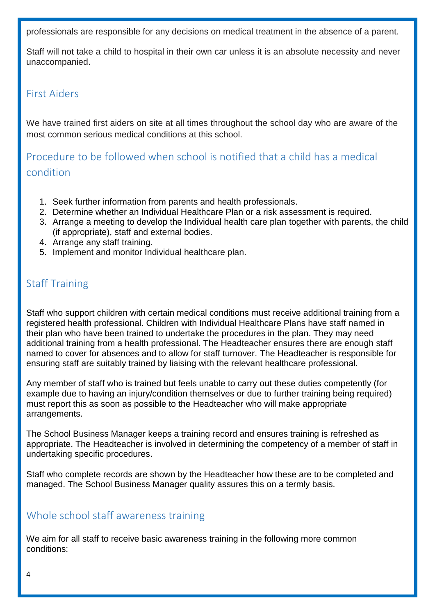professionals are responsible for any decisions on medical treatment in the absence of a parent.

Staff will not take a child to hospital in their own car unless it is an absolute necessity and never unaccompanied.

#### <span id="page-3-0"></span>First Aiders

We have trained first aiders on site at all times throughout the school day who are aware of the most common serious medical conditions at this school.

<span id="page-3-1"></span>Procedure to be followed when school is notified that a child has a medical condition

- 1. Seek further information from parents and health professionals.
- 2. Determine whether an Individual Healthcare Plan or a risk assessment is required.
- 3. Arrange a meeting to develop the Individual health care plan together with parents, the child (if appropriate), staff and external bodies.
- 4. Arrange any staff training.
- 5. Implement and monitor Individual healthcare plan.

## <span id="page-3-2"></span>Staff Training

Staff who support children with certain medical conditions must receive additional training from a registered health professional. Children with Individual Healthcare Plans have staff named in their plan who have been trained to undertake the procedures in the plan. They may need additional training from a health professional. The Headteacher ensures there are enough staff named to cover for absences and to allow for staff turnover. The Headteacher is responsible for ensuring staff are suitably trained by liaising with the relevant healthcare professional.

Any member of staff who is trained but feels unable to carry out these duties competently (for example due to having an injury/condition themselves or due to further training being required) must report this as soon as possible to the Headteacher who will make appropriate arrangements.

The School Business Manager keeps a training record and ensures training is refreshed as appropriate. The Headteacher is involved in determining the competency of a member of staff in undertaking specific procedures.

Staff who complete records are shown by the Headteacher how these are to be completed and managed. The School Business Manager quality assures this on a termly basis.

#### <span id="page-3-3"></span>Whole school staff awareness training

We aim for all staff to receive basic awareness training in the following more common conditions: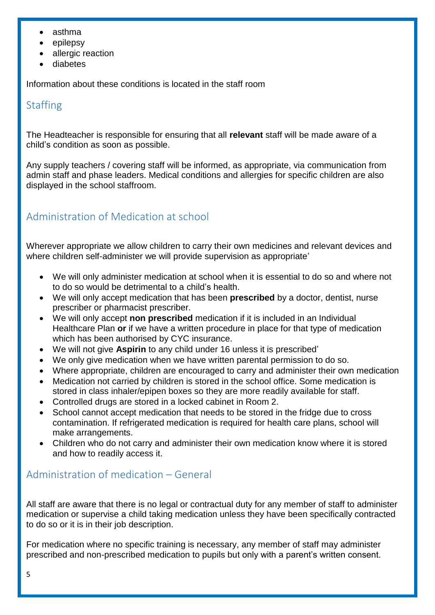- asthma
- epilepsy
- allergic reaction
- diabetes

Information about these conditions is located in the staff room

## <span id="page-4-0"></span>**Staffing**

The Headteacher is responsible for ensuring that all **relevant** staff will be made aware of a child's condition as soon as possible.

Any supply teachers / covering staff will be informed, as appropriate, via communication from admin staff and phase leaders. Medical conditions and allergies for specific children are also displayed in the school staffroom.

## <span id="page-4-1"></span>Administration of Medication at school

Wherever appropriate we allow children to carry their own medicines and relevant devices and where children self-administer we will provide supervision as appropriate'

- We will only administer medication at school when it is essential to do so and where not to do so would be detrimental to a child's health.
- We will only accept medication that has been **prescribed** by a doctor, dentist, nurse prescriber or pharmacist prescriber.
- We will only accept **non prescribed** medication if it is included in an Individual Healthcare Plan **or** if we have a written procedure in place for that type of medication which has been authorised by CYC insurance.
- We will not give **Aspirin** to any child under 16 unless it is prescribed'
- We only give medication when we have written parental permission to do so.
- Where appropriate, children are encouraged to carry and administer their own medication
- Medication not carried by children is stored in the school office. Some medication is stored in class inhaler/epipen boxes so they are more readily available for staff.
- Controlled drugs are stored in a locked cabinet in Room 2.
- School cannot accept medication that needs to be stored in the fridge due to cross contamination. If refrigerated medication is required for health care plans, school will make arrangements.
- Children who do not carry and administer their own medication know where it is stored and how to readily access it.

## <span id="page-4-2"></span>Administration of medication – General

All staff are aware that there is no legal or contractual duty for any member of staff to administer medication or supervise a child taking medication unless they have been specifically contracted to do so or it is in their job description.

For medication where no specific training is necessary, any member of staff may administer prescribed and non-prescribed medication to pupils but only with a parent's written consent.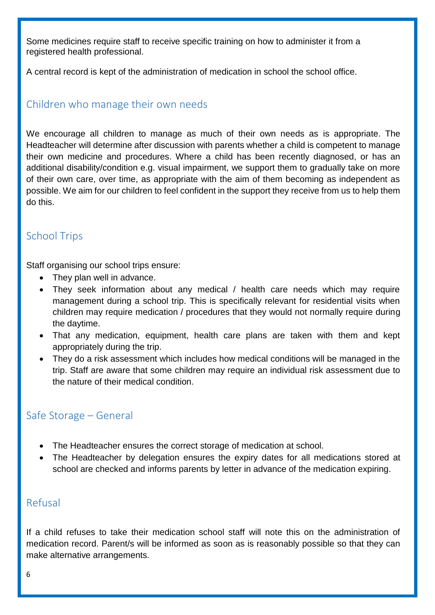Some medicines require staff to receive specific training on how to administer it from a registered health professional.

A central record is kept of the administration of medication in school the school office.

### <span id="page-5-0"></span>Children who manage their own needs

We encourage all children to manage as much of their own needs as is appropriate. The Headteacher will determine after discussion with parents whether a child is competent to manage their own medicine and procedures. Where a child has been recently diagnosed, or has an additional disability/condition e.g. visual impairment, we support them to gradually take on more of their own care, over time, as appropriate with the aim of them becoming as independent as possible. We aim for our children to feel confident in the support they receive from us to help them do this.

## <span id="page-5-1"></span>School Trips

Staff organising our school trips ensure:

- They plan well in advance.
- They seek information about any medical / health care needs which may require management during a school trip. This is specifically relevant for residential visits when children may require medication / procedures that they would not normally require during the daytime.
- That any medication, equipment, health care plans are taken with them and kept appropriately during the trip.
- They do a risk assessment which includes how medical conditions will be managed in the trip. Staff are aware that some children may require an individual risk assessment due to the nature of their medical condition.

#### <span id="page-5-2"></span>Safe Storage – General

- The Headteacher ensures the correct storage of medication at school.
- The Headteacher by delegation ensures the expiry dates for all medications stored at school are checked and informs parents by letter in advance of the medication expiring.

#### <span id="page-5-3"></span>Refusal

If a child refuses to take their medication school staff will note this on the administration of medication record. Parent/s will be informed as soon as is reasonably possible so that they can make alternative arrangements.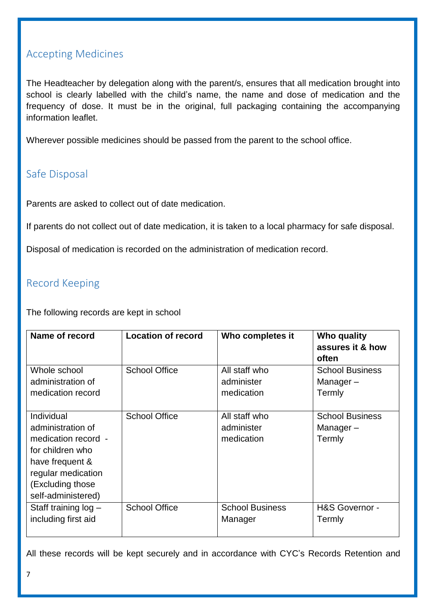#### <span id="page-6-0"></span>Accepting Medicines

The Headteacher by delegation along with the parent/s, ensures that all medication brought into school is clearly labelled with the child's name, the name and dose of medication and the frequency of dose. It must be in the original, full packaging containing the accompanying information leaflet.

Wherever possible medicines should be passed from the parent to the school office.

#### <span id="page-6-1"></span>Safe Disposal

Parents are asked to collect out of date medication.

If parents do not collect out of date medication, it is taken to a local pharmacy for safe disposal.

Disposal of medication is recorded on the administration of medication record.

#### <span id="page-6-2"></span>Record Keeping

The following records are kept in school

| Name of record                                                                                                                                                | <b>Location of record</b> | Who completes it                          | Who quality<br>assures it & how<br>often     |
|---------------------------------------------------------------------------------------------------------------------------------------------------------------|---------------------------|-------------------------------------------|----------------------------------------------|
| Whole school                                                                                                                                                  | <b>School Office</b>      | All staff who                             | <b>School Business</b>                       |
| administration of                                                                                                                                             |                           | administer                                | Manager-                                     |
| medication record                                                                                                                                             |                           | medication                                | Termly                                       |
| Individual<br>administration of<br>medication record -<br>for children who<br>have frequent &<br>regular medication<br>(Excluding those<br>self-administered) | <b>School Office</b>      | All staff who<br>administer<br>medication | <b>School Business</b><br>Manager-<br>Termly |
| Staff training $log -$                                                                                                                                        | <b>School Office</b>      | <b>School Business</b>                    | H&S Governor -                               |
| including first aid                                                                                                                                           |                           | Manager                                   | Termly                                       |

All these records will be kept securely and in accordance with CYC's Records Retention and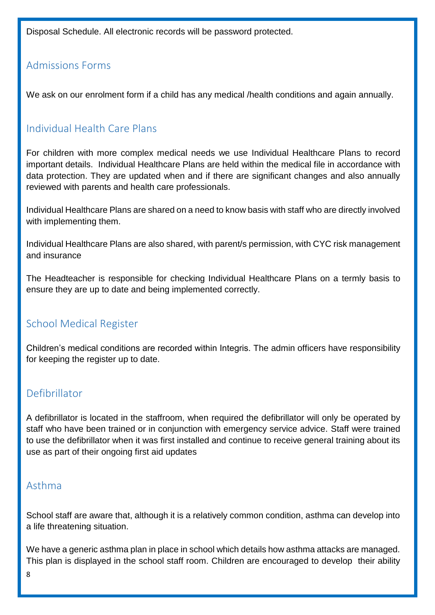Disposal Schedule. All electronic records will be password protected.

#### <span id="page-7-0"></span>Admissions Forms

We ask on our enrolment form if a child has any medical /health conditions and again annually.

## <span id="page-7-1"></span>Individual Health Care Plans

For children with more complex medical needs we use Individual Healthcare Plans to record important details. Individual Healthcare Plans are held within the medical file in accordance with data protection. They are updated when and if there are significant changes and also annually reviewed with parents and health care professionals.

Individual Healthcare Plans are shared on a need to know basis with staff who are directly involved with implementing them.

Individual Healthcare Plans are also shared, with parent/s permission, with CYC risk management and insurance

The Headteacher is responsible for checking Individual Healthcare Plans on a termly basis to ensure they are up to date and being implemented correctly.

#### <span id="page-7-2"></span>School Medical Register

Children's medical conditions are recorded within Integris. The admin officers have responsibility for keeping the register up to date.

#### <span id="page-7-3"></span>Defibrillator

A defibrillator is located in the staffroom, when required the defibrillator will only be operated by staff who have been trained or in conjunction with emergency service advice. Staff were trained to use the defibrillator when it was first installed and continue to receive general training about its use as part of their ongoing first aid updates

#### <span id="page-7-4"></span>Asthma

School staff are aware that, although it is a relatively common condition, asthma can develop into a life threatening situation.

We have a generic asthma plan in place in school which details how asthma attacks are managed. This plan is displayed in the school staff room. Children are encouraged to develop their ability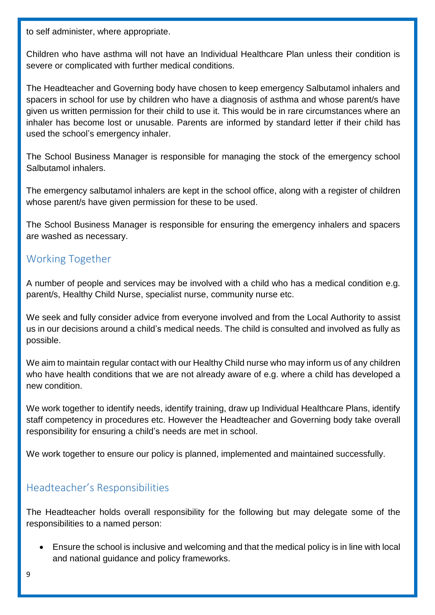to self administer, where appropriate.

Children who have asthma will not have an Individual Healthcare Plan unless their condition is severe or complicated with further medical conditions.

The Headteacher and Governing body have chosen to keep emergency Salbutamol inhalers and spacers in school for use by children who have a diagnosis of asthma and whose parent/s have given us written permission for their child to use it. This would be in rare circumstances where an inhaler has become lost or unusable. Parents are informed by standard letter if their child has used the school's emergency inhaler.

The School Business Manager is responsible for managing the stock of the emergency school Salbutamol inhalers.

The emergency salbutamol inhalers are kept in the school office, along with a register of children whose parent/s have given permission for these to be used.

The School Business Manager is responsible for ensuring the emergency inhalers and spacers are washed as necessary.

## <span id="page-8-0"></span>Working Together

A number of people and services may be involved with a child who has a medical condition e.g. parent/s, Healthy Child Nurse, specialist nurse, community nurse etc.

We seek and fully consider advice from everyone involved and from the Local Authority to assist us in our decisions around a child's medical needs. The child is consulted and involved as fully as possible.

We aim to maintain regular contact with our Healthy Child nurse who may inform us of any children who have health conditions that we are not already aware of e.g. where a child has developed a new condition.

We work together to identify needs, identify training, draw up Individual Healthcare Plans, identify staff competency in procedures etc. However the Headteacher and Governing body take overall responsibility for ensuring a child's needs are met in school.

We work together to ensure our policy is planned, implemented and maintained successfully.

#### <span id="page-8-1"></span>Headteacher's Responsibilities

The Headteacher holds overall responsibility for the following but may delegate some of the responsibilities to a named person:

 Ensure the school is inclusive and welcoming and that the medical policy is in line with local and national guidance and policy frameworks.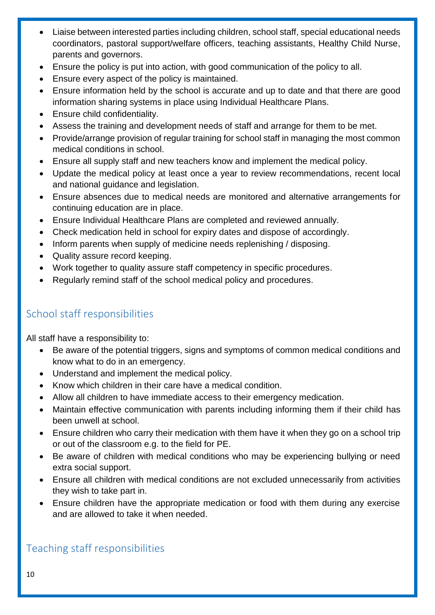- Liaise between interested parties including children, school staff, special educational needs coordinators, pastoral support/welfare officers, teaching assistants, Healthy Child Nurse, parents and governors.
- Ensure the policy is put into action, with good communication of the policy to all.
- Ensure every aspect of the policy is maintained.
- Ensure information held by the school is accurate and up to date and that there are good information sharing systems in place using Individual Healthcare Plans.
- Ensure child confidentiality.
- Assess the training and development needs of staff and arrange for them to be met.
- Provide/arrange provision of regular training for school staff in managing the most common medical conditions in school.
- Ensure all supply staff and new teachers know and implement the medical policy.
- Update the medical policy at least once a year to review recommendations, recent local and national guidance and legislation.
- Ensure absences due to medical needs are monitored and alternative arrangements for continuing education are in place.
- Ensure Individual Healthcare Plans are completed and reviewed annually.
- Check medication held in school for expiry dates and dispose of accordingly.
- Inform parents when supply of medicine needs replenishing / disposing.
- Quality assure record keeping.
- Work together to quality assure staff competency in specific procedures.
- Regularly remind staff of the school medical policy and procedures.

## <span id="page-9-0"></span>School staff responsibilities

All staff have a responsibility to:

- Be aware of the potential triggers, signs and symptoms of common medical conditions and know what to do in an emergency.
- Understand and implement the medical policy.
- Know which children in their care have a medical condition.
- Allow all children to have immediate access to their emergency medication.
- Maintain effective communication with parents including informing them if their child has been unwell at school.
- Ensure children who carry their medication with them have it when they go on a school trip or out of the classroom e.g. to the field for PE.
- Be aware of children with medical conditions who may be experiencing bullying or need extra social support.
- Ensure all children with medical conditions are not excluded unnecessarily from activities they wish to take part in.
- Ensure children have the appropriate medication or food with them during any exercise and are allowed to take it when needed.

## <span id="page-9-1"></span>Teaching staff responsibilities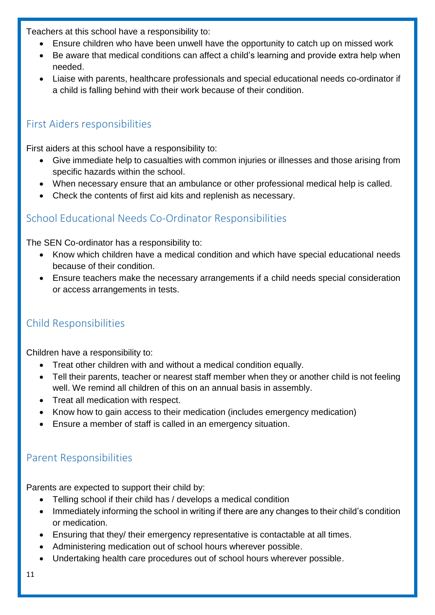Teachers at this school have a responsibility to:

- Ensure children who have been unwell have the opportunity to catch up on missed work
- Be aware that medical conditions can affect a child's learning and provide extra help when needed.
- Liaise with parents, healthcare professionals and special educational needs co-ordinator if a child is falling behind with their work because of their condition.

### <span id="page-10-0"></span>First Aiders responsibilities

First aiders at this school have a responsibility to:

- Give immediate help to casualties with common injuries or illnesses and those arising from specific hazards within the school.
- When necessary ensure that an ambulance or other professional medical help is called.
- Check the contents of first aid kits and replenish as necessary.

## <span id="page-10-1"></span>School Educational Needs Co-Ordinator Responsibilities

The SEN Co-ordinator has a responsibility to:

- Know which children have a medical condition and which have special educational needs because of their condition.
- Ensure teachers make the necessary arrangements if a child needs special consideration or access arrangements in tests.

## <span id="page-10-2"></span>Child Responsibilities

Children have a responsibility to:

- Treat other children with and without a medical condition equally.
- Tell their parents, teacher or nearest staff member when they or another child is not feeling well. We remind all children of this on an annual basis in assembly.
- Treat all medication with respect.
- Know how to gain access to their medication (includes emergency medication)
- Ensure a member of staff is called in an emergency situation.

## <span id="page-10-3"></span>Parent Responsibilities

Parents are expected to support their child by:

- Telling school if their child has / develops a medical condition
- Immediately informing the school in writing if there are any changes to their child's condition or medication.
- Ensuring that they/ their emergency representative is contactable at all times.
- Administering medication out of school hours wherever possible.
- Undertaking health care procedures out of school hours wherever possible.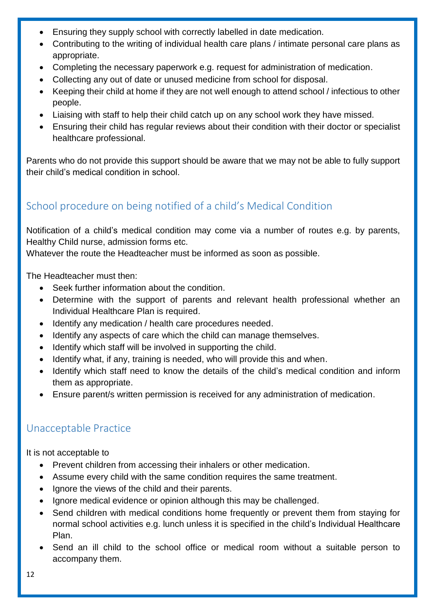- Ensuring they supply school with correctly labelled in date medication.
- Contributing to the writing of individual health care plans / intimate personal care plans as appropriate.
- Completing the necessary paperwork e.g. request for administration of medication.
- Collecting any out of date or unused medicine from school for disposal.
- Keeping their child at home if they are not well enough to attend school / infectious to other people.
- Liaising with staff to help their child catch up on any school work they have missed.
- Ensuring their child has regular reviews about their condition with their doctor or specialist healthcare professional.

Parents who do not provide this support should be aware that we may not be able to fully support their child's medical condition in school.

## <span id="page-11-0"></span>School procedure on being notified of a child's Medical Condition

Notification of a child's medical condition may come via a number of routes e.g. by parents, Healthy Child nurse, admission forms etc.

Whatever the route the Headteacher must be informed as soon as possible.

The Headteacher must then:

- Seek further information about the condition.
- Determine with the support of parents and relevant health professional whether an Individual Healthcare Plan is required.
- Identify any medication / health care procedures needed.
- Identify any aspects of care which the child can manage themselves.
- Identify which staff will be involved in supporting the child.
- Identify what, if any, training is needed, who will provide this and when.
- Identify which staff need to know the details of the child's medical condition and inform them as appropriate.
- Ensure parent/s written permission is received for any administration of medication.

#### <span id="page-11-1"></span>Unacceptable Practice

It is not acceptable to

- Prevent children from accessing their inhalers or other medication.
- Assume every child with the same condition requires the same treatment.
- Ignore the views of the child and their parents.
- Ignore medical evidence or opinion although this may be challenged.
- Send children with medical conditions home frequently or prevent them from staying for normal school activities e.g. lunch unless it is specified in the child's Individual Healthcare Plan.
- Send an ill child to the school office or medical room without a suitable person to accompany them.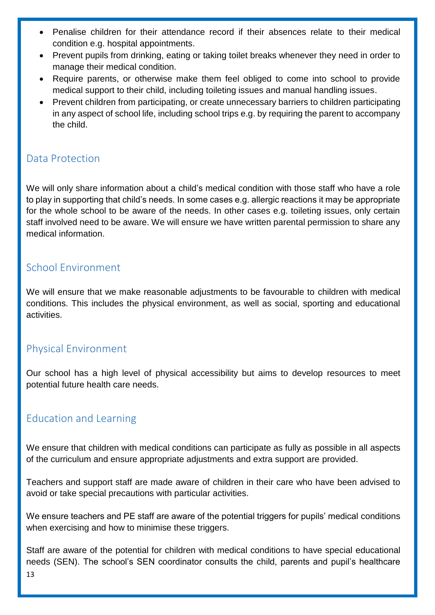- Penalise children for their attendance record if their absences relate to their medical condition e.g. hospital appointments.
- Prevent pupils from drinking, eating or taking toilet breaks whenever they need in order to manage their medical condition.
- Require parents, or otherwise make them feel obliged to come into school to provide medical support to their child, including toileting issues and manual handling issues.
- Prevent children from participating, or create unnecessary barriers to children participating in any aspect of school life, including school trips e.g. by requiring the parent to accompany the child.

#### <span id="page-12-0"></span>Data Protection

We will only share information about a child's medical condition with those staff who have a role to play in supporting that child's needs. In some cases e.g. allergic reactions it may be appropriate for the whole school to be aware of the needs. In other cases e.g. toileting issues, only certain staff involved need to be aware. We will ensure we have written parental permission to share any medical information.

#### <span id="page-12-1"></span>School Environment

We will ensure that we make reasonable adjustments to be favourable to children with medical conditions. This includes the physical environment, as well as social, sporting and educational activities.

## <span id="page-12-2"></span>Physical Environment

Our school has a high level of physical accessibility but aims to develop resources to meet potential future health care needs.

#### <span id="page-12-3"></span>Education and Learning

We ensure that children with medical conditions can participate as fully as possible in all aspects of the curriculum and ensure appropriate adjustments and extra support are provided.

Teachers and support staff are made aware of children in their care who have been advised to avoid or take special precautions with particular activities.

We ensure teachers and PE staff are aware of the potential triggers for pupils' medical conditions when exercising and how to minimise these triggers.

Staff are aware of the potential for children with medical conditions to have special educational needs (SEN). The school's SEN coordinator consults the child, parents and pupil's healthcare